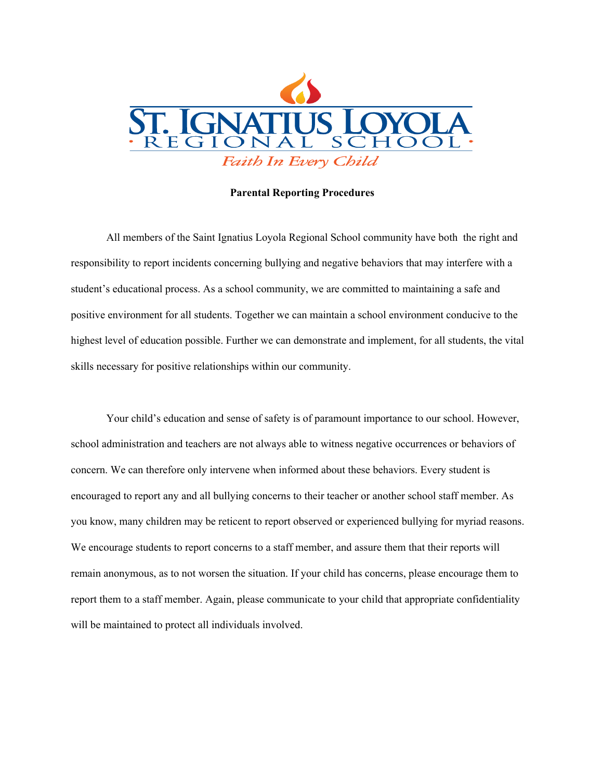

## **Parental Reporting Procedures**

All members of the Saint Ignatius Loyola Regional School community have both the right and responsibility to report incidents concerning bullying and negative behaviors that may interfere with a student's educational process. As a school community, we are committed to maintaining a safe and positive environment for all students. Together we can maintain a school environment conducive to the highest level of education possible. Further we can demonstrate and implement, for all students, the vital skills necessary for positive relationships within our community.

Your child's education and sense of safety is of paramount importance to our school. However, school administration and teachers are not always able to witness negative occurrences or behaviors of concern. We can therefore only intervene when informed about these behaviors. Every student is encouraged to report any and all bullying concerns to their teacher or another school staff member. As you know, many children may be reticent to report observed or experienced bullying for myriad reasons. We encourage students to report concerns to a staff member, and assure them that their reports will remain anonymous, as to not worsen the situation. If your child has concerns, please encourage them to report them to a staff member. Again, please communicate to your child that appropriate confidentiality will be maintained to protect all individuals involved.